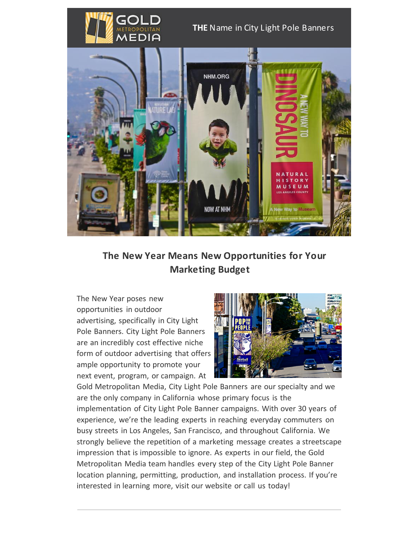

## **THE** Name in City Light Pole Banners



 **The New Year Means New Opportunities for Your Marketing Budget**

The New Year poses new opportunities in outdoor advertising, specifically in City Light Pole Banners. City Light Pole Banners are an incredibly cost effective niche form of outdoor advertising that offers ample opportunity to promote your next event, program, or campaign. At



Gold Metropolitan Media, City Light Pole Banners are our specialty and we are the only company in California whose primary focus is the implementation of City Light Pole Banner campaigns. With over 30 years of experience, we're the leading experts in reaching everyday commuters on busy streets in Los Angeles, San Francisco, and throughout California. We strongly believe the repetition of a marketing message creates a streetscape impression that is impossible to ignore. As experts in our field, the Gold Metropolitan Media team handles every step of the City Light Pole Banner location planning, permitting, production, and installation process. If you're interested in learning more, visit our website or call us today!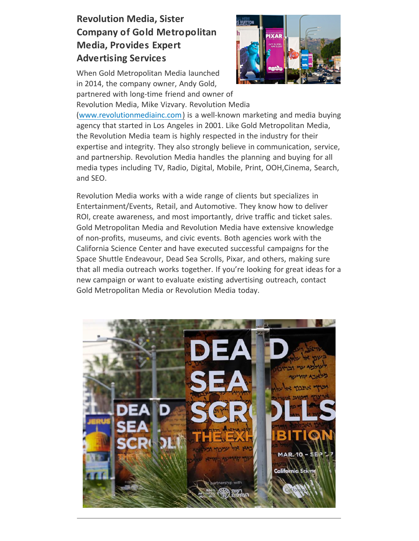## **Revolution Media, Sister Company of Gold Metropolitan Media, Provides Expert Advertising Services**

When Gold Metropolitan Media launched in 2014, the company owner, Andy Gold, partnered with long-time friend and owner of



Revolution Media, Mike Vizvary. Revolution Media [\(www.revolutionmediainc.com\)](http://www.revolutionmediainc.com/) is a well-known marketing and media buying agency that started in Los Angeles in 2001. Like Gold Metropolitan Media, the Revolution Media team is highly respected in the industry for their expertise and integrity. They also strongly believe in communication, service, and partnership. Revolution Media handles the planning and buying for all media types including TV, Radio, Digital, Mobile, Print, OOH,Cinema, Search, and SEO.

Revolution Media works with a wide range of clients but specializes in Entertainment/Events, Retail, and Automotive. They know how to deliver ROI, create awareness, and most importantly, drive traffic and ticket sales. Gold Metropolitan Media and Revolution Media have extensive knowledge of non-profits, museums, and civic events. Both agencies work with the California Science Center and have executed successful campaigns for the Space Shuttle Endeavour, Dead Sea Scrolls, Pixar, and others, making sure that all media outreach works together. If you're looking for great ideas for a new campaign or want to evaluate existing advertising outreach, contact Gold Metropolitan Media or Revolution Media today.